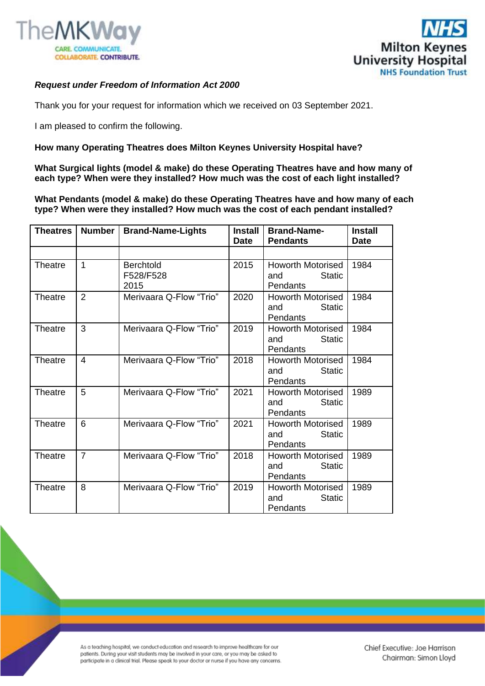



## *Request under Freedom of Information Act 2000*

Thank you for your request for information which we received on 03 September 2021.

I am pleased to confirm the following.

## **How many Operating Theatres does Milton Keynes University Hospital have?**

**What Surgical lights (model & make) do these Operating Theatres have and how many of each type? When were they installed? How much was the cost of each light installed?**

**What Pendants (model & make) do these Operating Theatres have and how many of each type? When were they installed? How much was the cost of each pendant installed?**

| <b>Theatres</b> | <b>Number</b>  | <b>Brand-Name-Lights</b>              | <b>Install</b><br><b>Date</b> | <b>Brand-Name-</b><br><b>Pendants</b>                               | <b>Install</b><br><b>Date</b> |
|-----------------|----------------|---------------------------------------|-------------------------------|---------------------------------------------------------------------|-------------------------------|
|                 |                |                                       |                               |                                                                     |                               |
| <b>Theatre</b>  | 1              | <b>Berchtold</b><br>F528/F528<br>2015 | 2015                          | <b>Howorth Motorised</b><br><b>Static</b><br>and<br><b>Pendants</b> | 1984                          |
| Theatre         | 2              | Merivaara Q-Flow "Trio"               | 2020                          | <b>Howorth Motorised</b><br><b>Static</b><br>and<br>Pendants        | 1984                          |
| Theatre         | 3              | Merivaara Q-Flow "Trio"               | 2019                          | Howorth Motorised<br><b>Static</b><br>and<br><b>Pendants</b>        | 1984                          |
| <b>Theatre</b>  | 4              | Merivaara Q-Flow "Trio"               | 2018                          | Howorth Motorised<br><b>Static</b><br>and<br><b>Pendants</b>        | 1984                          |
| Theatre         | 5              | Merivaara Q-Flow "Trio"               | 2021                          | <b>Howorth Motorised</b><br><b>Static</b><br>and<br>Pendants        | 1989                          |
| Theatre         | 6              | Merivaara Q-Flow "Trio"               | 2021                          | <b>Howorth Motorised</b><br><b>Static</b><br>and<br><b>Pendants</b> | 1989                          |
| Theatre         | $\overline{7}$ | Merivaara Q-Flow "Trio"               | 2018                          | <b>Howorth Motorised</b><br>and<br><b>Static</b><br><b>Pendants</b> | 1989                          |
| Theatre         | 8              | Merivaara Q-Flow "Trio"               | 2019                          | <b>Howorth Motorised</b><br><b>Static</b><br>and<br>Pendants        | 1989                          |

As a teaching hospital, we conduct education and research to improve healthcare for our patients. During your visit students may be involved in your care, or you may be asked to participate in a clinical trial. Please speak to your doctor or nurse if you have any concerns.